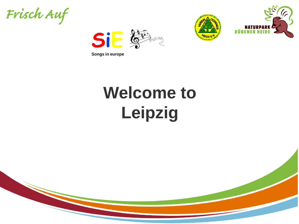Frisch Auf





# **Welcome to Leipzig**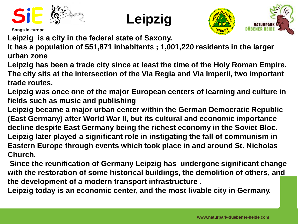



**Leipzig is a city in the federal state of Saxony.** 

**It has a population of 551,871 inhabitants ; 1,001,220 residents in the larger urban zone**

**Leipzig has been a trade city since at least the time of the Holy Roman Empire. The city sits at the intersection of the Via Regia and Via Imperii, two important trade routes.** 

**Leipzig was once one of the major European centers of learning and culture in fields such as music and publishing**

**Leipzig became a major urban center within the German Democratic Republic (East Germany) after World War II, but its cultural and economic importance decline despite East Germany being the richest economy in the Soviet Bloc. Leipzig later played a significant role in instigating the fall of communism in Eastern Europe through events which took place in and around St. Nicholas Church.**

**Since the reunification of Germany Leipzig has undergone significant change with the restoration of some historical buildings, the demolition of others, and the development of a modern transport infrastructure .**

**Leipzig today is an economic center, and the most livable city in Germany.**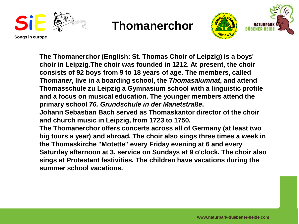



**The Thomanerchor (English: St. Thomas Choir of Leipzig) is a boys' choir in Leipzig.The choir was founded in 1212. At present, the choir consists of 92 boys from 9 to 18 years of age. The members, called** *Thomaner***, live in a boarding school, the** *Thomasalumnat***, and attend Thomasschule zu Leipzig a Gymnasium school with a linguistic profile and a focus on musical education. The younger members attend the primary school** *76. Grundschule in der Manetstraße***. Johann Sebastian Bach served as Thomaskantor director of the choir and church music in Leipzig, from 1723 to 1750. The Thomanerchor offers concerts across all of Germany (at least two big tours a year) and abroad. The choir also sings three times a week in the Thomaskirche "Motette" every Friday evening at 6 and every Saturday afternoon at 3, service on Sundays at 9 o'clock. The choir also sings at Protestant festivities. The children have vacations during the summer school vacations.**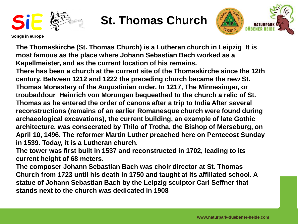

# **St. Thomas Church**



**Songs in europe**

**The Thomaskirche (St. Thomas Church) is a Lutheran church in Leipzig It is most famous as the place where Johann Sebastian Bach worked as a Kapellmeister, and as the current location of his remains.**

**There has been a church at the current site of the Thomaskirche since the 12th century. Between 1212 and 1222 the preceding church became the new St. Thomas Monastery of the Augustinian order. In 1217, The Minnesinger, or troubaddour Heinrich von Morungen bequeathed to the church a relic of St. Thomas as he entered the order of canons after a trip to India After several reconstructions (remains of an earlier Romanesque church were found during archaeological excavations), the current building, an example of late Gothic architecture, was consecrated by Thilo of Trotha, the Bishop of Merseburg, on April 10, 1496. The reformer Martin Luther preached here on Pentecost Sunday in 1539. Today, it is a Lutheran church.**

**The tower was first built in 1537 and reconstructed in 1702, leading to its current height of 68 meters.**

**The composer Johann Sebastian Bach was choir director at St. Thomas Church from 1723 until his death in 1750 and taught at its affiliated school. A statue of Johann Sebastian Bach by the Leipzig sculptor Carl Seffner that stands next to the church was dedicated in 1908**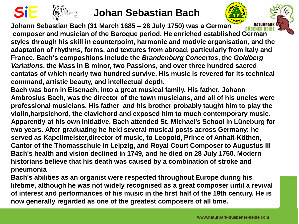

#### **SiE Johan Sebastian Bach**

**Johann Sebastian Bach (31 March 1685 – 28 July 1750) was a German composer and musician of the Baroque period. He enriched established German styles through his skill in counterpoint, harmonic and motivic organisation, and the adaptation of rhythms, forms, and textures from abroad, particularly from Italy and France. Bach's compositions include the** *Brandenburg Concertos***, the** *Goldberg Variations***, the Mass in B minor, two Passions, and over three hundred sacred cantatas of which nearly two hundred survive. His music is revered for its technical command, artistic beauty, and intellectual depth.**

- **Bach was born in Eisenach, into a great musical family. His father, Johann Ambrosius Bach, was the director of the town musicians, and all of his uncles were professional musicians. His father and his brother probably taught him to play the violin,harpsichord, the clavichord and exposed him to much contemporary music. Apparently at his own initiative, Bach attended St. Michael's School in Lüneburg for two years. After graduating he held several musical posts across Germany: he served as Kapellmeister,director of music, to Leopold, Prince of Anhalt-Köthen, Cantor of the Thomasschule in Leipzig, and Royal Court Composer to Augustus III Bach's health and vision declined in 1749, and he died on 28 July 1750. Modern historians believe that his death was caused by a combination of stroke and pneumonia**
- **Bach's abilities as an organist were respected throughout Europe during his lifetime, although he was not widely recognised as a great composer until a revival of interest and performances of his music in the first half of the 19th century. He is now generally regarded as one of the greatest composers of all time.**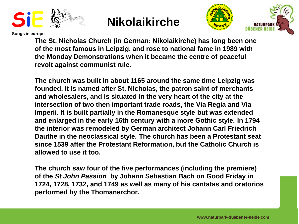





**The St. Nicholas Church (in German: Nikolaikirche) has long been one of the most famous in Leipzig, and rose to national fame in 1989 with the Monday Demonstrations when it became the centre of peaceful revolt against communist rule.**

**The church was built in about 1165 around the same time Leipzig was founded. It is named after St. Nicholas, the patron saint of merchants and wholesalers, and is situated in the very heart of the city at the intersection of two then important trade roads, the Via Regia and Via Imperii. It is built partially in the Romanesque style but was extended and enlarged in the early 16th century with a more Gothic style. In 1794 the interior was remodeled by German architect Johann Carl Friedrich Dauthe in the neoclassical style. The church has been a Protestant seat since 1539 after the Protestant Reformation, but the Catholic Church is allowed to use it too.**

**The church saw four of the five performances (including the premiere) of the** *St John Passion* **by Johann Sebastian Bach on Good Friday in 1724, 1728, 1732, and 1749 as well as many of his cantatas and oratorios performed by the Thomanerchor.**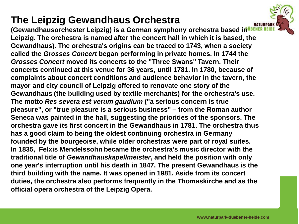### **The Leipzig Gewandhaus Orchestra**

**(Gewandhausorchester Leipzig) is a German symphony orchestra based in Leipzig. The orchestra is named after the concert hall in which it is based, the Gewandhaus). The orchestra's origins can be traced to 1743, when a society called the** *Grosses Concert* **began performing in private homes. In 1744 the** *Grosses Concert* **moved its concerts to the "Three Swans" Tavern. Their concerts continued at this venue for 36 years, until 1781. In 1780, because of complaints about concert conditions and audience behavior in the tavern, the mayor and city council of Leipzig offered to renovate one story of the Gewandhaus (the building used by textile merchants) for the orchestra's use. The motto** *Res severa est verum gaudium* **("a serious concern is true pleasure", or "true pleasure is a serious business" – from the Roman author Seneca was painted in the hall, suggesting the priorities of the sponsors. The orchestra gave its first concert in the Gewandhaus in 1781. The orchestra thus has a good claim to being the oldest continuing orchestra in Germany founded by the bourgeoise, while older orchestras were part of royal suites. In 1835, Felxis Mendelssohn became the orchestra's music director with the traditional title of** *Gewandhauskapellmeister***, and held the position with only one year's interruption until his death in 1847. The present Gewandhaus is the third building with the name. It was opened in 1981. Aside from its concert duties, the orchestra also performs frequently in the Thomaskirche and as the official opera orchestra of the Leipzig Opera.**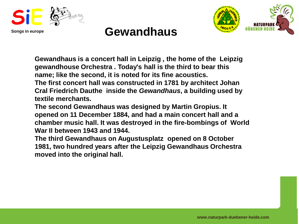



## **Gewandhaus**

**Gewandhaus is a concert hall in Leipzig , the home of the Leipzig gewandhouse Orchestra . Today's hall is the third to bear this name; like the second, it is noted for its fine acoustics. The first concert hall was constructed in 1781 by architect Johan** 

**Cral Friedrich Dauthe inside the** *Gewandhaus***, a building used by textile merchants.**

**The second Gewandhaus was designed by Martin Gropius. It opened on 11 December 1884, and had a main concert hall and a chamber music hall. It was destroyed in the fire-bombings of World War II between 1943 and 1944.**

**The third Gewandhaus on Augustusplatz opened on 8 October 1981, two hundred years after the Leipzig Gewandhaus Orchestra moved into the original hall.**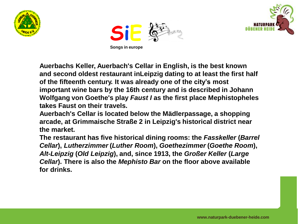





**Auerbachs Keller, Auerbach's Cellar in English, is the best known and second oldest restaurant inLeipzig dating to at least the first half of the fifteenth century. It was already one of the city's most important wine bars by the 16th century and is described in Johann Wolfgang von Goethe's play** *Faust I* **as the first place Mephistopheles takes Faust on their travels.**

**Auerbach's Cellar is located below the Mädlerpassage, a shopping arcade, at Grimmaische Straße 2 in Leipzig's historical district near the market.** 

**The restaurant has five historical dining rooms: the** *Fasskeller* **(***Barrel Cellar***),** *Lutherzimmer* **(***Luther Room***),** *Goethezimmer* **(***Goethe Room***),**  *Alt-Leipzig* **(***Old Leipzig***), and, since 1913, the** *Großer Keller* **(***Large Cellar***). There is also the** *Mephisto Bar* **on the floor above available for drinks.**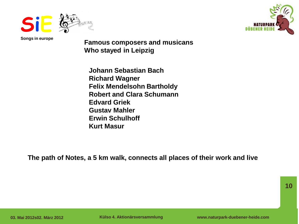



**Famous composers and musicans Who stayed in Leipzig**

**Johann Sebastian Bach Richard Wagner Felix Mendelsohn Bartholdy Robert and Clara Schumann Edvard Griek Gustav Mahler Erwin Schulhoff Kurt Masur**

**The path of Notes, a 5 km walk, connects all places of their work and live**